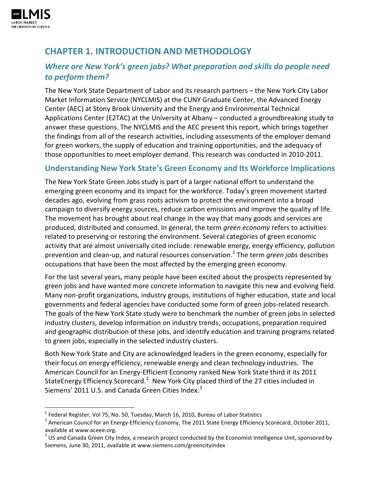

# **CHAPTER 1. INTRODUCTION AND METHODOLOGY**

# *Where are New York's green jobs? What preparation and skills do people need to perform them?*

The New York State Department of Labor and its research partners – the New York City Labor Market Information Service (NYCLMIS) at the CUNY Graduate Center, the Advanced Energy Center (AEC) at Stony Brook University and the Energy and Environmental Technical Applications Center (E2TAC) at the University at Albany – conducted a groundbreaking study to answer these questions. The NYCLMIS and the AEC present this report, which brings together the findings from all of the research activities, including assessments of the employer demand for green workers, the supply of education and training opportunities, and the adequacy of those opportunities to meet employer demand. This research was conducted in 2010-2011.

# **Understanding New York State's Green Economy and Its Workforce Implications**

The New York State Green Jobs study is part of a larger national effort to understand the emerging green economy and its impact for the workforce. Today's green movement started decades ago, evolving from grass roots activism to protect the environment into a broad campaign to diversify energy sources, reduce carbon emissions and improve the quality of life. The movement has brought about real change in the way that many goods and services are produced, distributed and consumed. In general, the term *green economy* refers to activities related to preserving or restoring the environment. Several categories of green economic activity that are almost universally cited include: renewable energy, energy efficiency, pollution prevention and clean-up, and natural resources conservation.<sup>[1](#page-0-0)</sup> The term *green jobs* describes occupations that have been the most affected by the emerging green economy.

For the last several years, many people have been excited about the prospects represented by green jobs and have wanted more concrete information to navigate this new and evolving field. Many non-profit organizations, industry groups, institutions of higher education, state and local governments and federal agencies have conducted some form of green jobs-related research. The goals of the New York State study were to benchmark the number of green jobs in selected industry clusters, develop information on industry trends, occupations, preparation required and geographic distribution of these jobs, and identify education and training programs related to green jobs, especially in the selected industry clusters.

Both New York State and City are acknowledged leaders in the green economy, especially for their focus on energy efficiency, renewable energy and clean technology industries. The American Council for an Energy-Efficient Economy ranked New York State third it its 2011 StateEnergy Efficiency Scorecard.<sup>[2](#page-0-1)</sup> New York City placed third of the 27 cities included in Siemens' 2011 U.S. and Canada Green Cities Index.<sup>[3](#page-0-2)</sup>

<span id="page-0-0"></span> $1$  Federal Register, Vol 75, No. 50, Tuesday, March 16, 2010, Bureau of Labor Statistics

<span id="page-0-1"></span><sup>&</sup>lt;sup>2</sup> American Council for an Energy-Efficiency Economy, The 2011 State Energy Efficiency Scorecard, October 2011, available at www.aceee.org.

<span id="page-0-2"></span> $3$  US and Canada Green City Index, a research project conducted by the Economist Intelligence Unit, sponsored by Siemens, June 30, 2011, available at www.siemens.com/greencityindex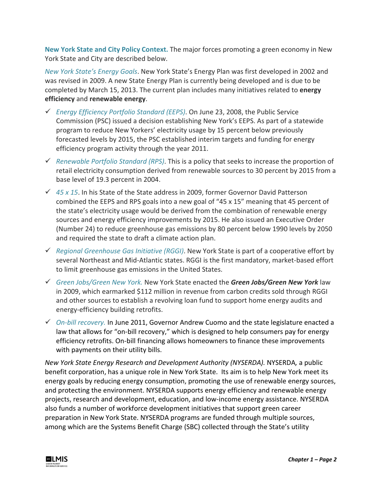**New York State and City Policy Context.** The major forces promoting a green economy in New York State and City are described below.

*New York State's Energy Goals*. New York State's Energy Plan was first developed in 2002 and was revised in 2009. A new State Energy Plan is currently being developed and is due to be completed by March 15, 2013. The current plan includes many initiatives related to **energy efficiency** and **renewable energy**.

- *Energy Efficiency Portfolio Standard (EEPS)*. On June 23, 2008, the Public Service Commission (PSC) issued a decision establishing New York's EEPS. As part of a statewide program to reduce New Yorkers' electricity usage by 15 percent below previously forecasted levels by 2015, the PSC established interim targets and funding for energy efficiency program activity through the year 2011.
- *Renewable Portfolio Standard (RPS)*. This is a policy that seeks to increase the proportion of retail electricity consumption derived from renewable sources to 30 percent by 2015 from a base level of 19.3 percent in 2004.
- *45 x 15*. In his State of the State address in 2009, former Governor David Patterson combined the EEPS and RPS goals into a new goal of "45 x 15" meaning that 45 percent of the state's electricity usage would be derived from the combination of renewable energy sources and energy efficiency improvements by 2015. He also issued an Executive Order (Number 24) to reduce greenhouse gas emissions by 80 percent below 1990 levels by 2050 and required the state to draft a climate action plan.
- *Regional Greenhouse Gas Initiative (RGGI)*. New York State is part of a cooperative effort by several Northeast and Mid-Atlantic states. RGGI is the first mandatory, market-based effort to limit greenhouse gas emissions in the United States.
- *Green Jobs/Green New York.* New York State enacted the *Green Jobs/Green New York* law in 2009, which earmarked \$112 million in revenue from carbon credits sold through RGGI and other sources to establish a revolving loan fund to support home energy audits and energy-efficiency building retrofits.
- *On-bill recovery.* In June 2011, Governor Andrew Cuomo and the state legislature enacted a law that allows for "on-bill recovery," which is designed to help consumers pay for energy efficiency retrofits. On-bill financing allows homeowners to finance these improvements with payments on their utility bills.

*New York State Energy Research and Development Authority (NYSERDA).* NYSERDA*,* a public benefit corporation, has a unique role in New York State. Its aim is to help New York meet its energy goals by reducing energy consumption, promoting the use of renewable energy sources, and protecting the environment. NYSERDA supports energy efficiency and renewable energy projects, research and development, education, and low-income energy assistance. NYSERDA also funds a number of workforce development initiatives that support green career preparation in New York State. NYSERDA programs are funded through multiple sources, among which are the Systems Benefit Charge (SBC) collected through the State's utility

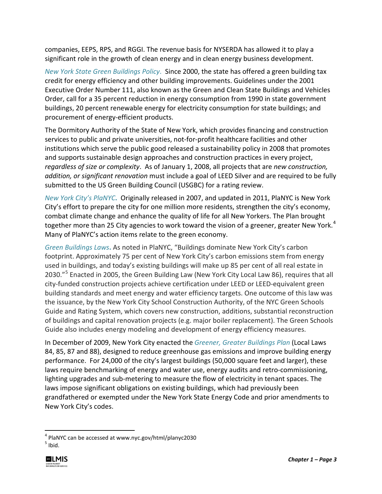companies, EEPS, RPS, and RGGI. The revenue basis for NYSERDA has allowed it to play a significant role in the growth of clean energy and in clean energy business development.

*New York State Green Buildings Policy*. Since 2000, the state has offered a green building tax credit for energy efficiency and other building improvements. Guidelines under the 2001 Executive Order Number 111, also known as the Green and Clean State Buildings and Vehicles Order, call for a 35 percent reduction in energy consumption from 1990 in state government buildings, 20 percent renewable energy for electricity consumption for state buildings; and procurement of energy-efficient products.

The Dormitory Authority of the State of New York, which provides financing and construction services to public and private universities, not-for-profit healthcare facilities and other institutions which serve the public good released a sustainability policy in 2008 that promotes and supports sustainable design approaches and construction practices in every project, *regardless of size or complexity*. As of January 1, 2008, all projects that are *new construction, addition, or significant renovation* must include a goal of LEED Silver and are required to be fully submitted to the US Green Building Council (USGBC) for a rating review.

*New York City's PlaNYC***.** Originally released in 2007, and updated in 2011, PlaNYC is New York City's effort to prepare the city for one million more residents, strengthen the city's economy, combat climate change and enhance the quality of life for all New Yorkers. The Plan brought together more than 25 City agencies to work toward the vision of a greener, greater New York.<sup>[4](#page-2-0)</sup> Many of PlaNYC's action items relate to the green economy.

*Green Buildings Laws***.** As noted in PlaNYC, "Buildings dominate New York City's carbon footprint. Approximately 75 per cent of New York City's carbon emissions stem from energy used in buildings, and today's existing buildings will make up 85 per cent of all real estate in 2030."<sup>[5](#page-2-1)</sup> Enacted in 2005, the Green Building Law (New York City Local Law 86), requires that all city-funded construction projects achieve certification under LEED or LEED-equivalent green building standards and meet energy and water efficiency targets. One outcome of this law was the issuance, by the New York City School Construction Authority, of the NYC Green Schools Guide and Rating System, which covers new construction, additions, substantial reconstruction of buildings and capital renovation projects (e.g. major boiler replacement). The Green Schools Guide also includes energy modeling and development of energy efficiency measures.

In December of 2009, New York City enacted the *Greener, Greater Buildings Plan* (Local Laws 84, 85, 87 and 88), designed to reduce greenhouse gas emissions and improve building energy performance. For 24,000 of the city's largest buildings (50,000 square feet and larger), these laws require benchmarking of energy and water use, energy audits and retro-commissioning, lighting upgrades and sub-metering to measure the flow of electricity in tenant spaces. The laws impose significant obligations on existing buildings, which had previously been grandfathered or exempted under the New York State Energy Code and prior amendments to New York City's codes.

<span id="page-2-1"></span> $<sup>5</sup>$  Ibid.</sup>



<span id="page-2-0"></span> <sup>4</sup> PlaNYC can be accessed at www.nyc.gov/html/planyc2030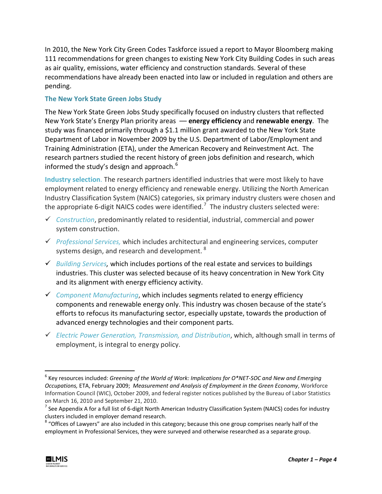In 2010, the New York City Green Codes Taskforce issued a report to Mayor Bloomberg making 111 recommendations for green changes to existing New York City Building Codes in such areas as air quality, emissions, water efficiency and construction standards. Several of these recommendations have already been enacted into law or included in regulation and others are pending.

## **The New York State Green Jobs Study**

The New York State Green Jobs Study specifically focused on industry clusters that reflected New York State's Energy Plan priority areas –– **energy efficiency** and **renewable energy**. The study was financed primarily through a \$1.1 million grant awarded to the New York State Department of Labor in November 2009 by the U.S. Department of Labor/Employment and Training Administration (ETA), under the American Recovery and Reinvestment Act. The research partners studied the recent history of green jobs definition and research, which informed the study's design and approach.<sup>[6](#page-3-0)</sup>

**Industry selection**. The research partners identified industries that were most likely to have employment related to energy efficiency and renewable energy. Utilizing the North American Industry Classification System (NAICS) categories, six primary industry clusters were chosen and the appropriate 6-digit NAICS codes were identified.<sup>[7](#page-3-1)</sup> The industry clusters selected were:

- *Construction*, predominantly related to residential, industrial, commercial and power system construction.
- *Professional Services,* which includes architectural and engineering services, computer systems design, and research and development. <sup>[8](#page-3-2)</sup>
- *Building Services,* which includes portions of the real estate and services to buildings industries. This cluster was selected because of its heavy concentration in New York City and its alignment with energy efficiency activity.
- *Component Manufacturing*, which includes segments related to energy efficiency components and renewable energy only. This industry was chosen because of the state's efforts to refocus its manufacturing sector, especially upstate, towards the production of advanced energy technologies and their component parts.
- *Electric Power Generation, Transmission, and Distribution*, which, although small in terms of employment, is integral to energy policy.

<span id="page-3-2"></span><sup>&</sup>lt;sup>8</sup> "Offices of Lawyers" are also included in this category; because this one group comprises nearly half of the employment in Professional Services, they were surveyed and otherwise researched as a separate group.



<span id="page-3-0"></span> <sup>6</sup> Key resources included: *Greening of the World of Work: Implications for O\*NET-SOC and New and Emerging Occupations,* ETA, February 2009; *Measurement and Analysis of Employment in the Green Economy*, Workforce Information Council (WIC), October 2009, and federal register notices published by the Bureau of Labor Statistics on March 16, 2010 and September 21, 2010.

<span id="page-3-1"></span> $^7$  See Appendix A for a full list of 6-digit North American Industry Classification System (NAICS) codes for industry clusters included in employer demand research.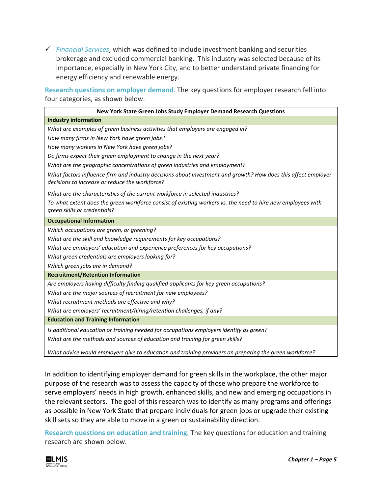*Financial Services*, which was defined to include investment banking and securities brokerage and excluded commercial banking. This industry was selected because of its importance, especially in New York City, and to better understand private financing for energy efficiency and renewable energy.

**Research questions on employer demand**. The key questions for employer research fell into four categories, as shown below.

| New York State Green Jobs Study Employer Demand Research Questions                                                                                              |  |  |
|-----------------------------------------------------------------------------------------------------------------------------------------------------------------|--|--|
| <b>Industry information</b>                                                                                                                                     |  |  |
| What are examples of green business activities that employers are engaged in?                                                                                   |  |  |
| How many firms in New York have green jobs?                                                                                                                     |  |  |
| How many workers in New York have green jobs?                                                                                                                   |  |  |
| Do firms expect their green employment to change in the next year?                                                                                              |  |  |
| What are the geographic concentrations of green industries and employment?                                                                                      |  |  |
| What factors influence firm and industry decisions about investment and growth? How does this affect employer<br>decisions to increase or reduce the workforce? |  |  |
| What are the characteristics of the current workforce in selected industries?                                                                                   |  |  |
| To what extent does the green workforce consist of existing workers vs. the need to hire new employees with<br>green skills or credentials?                     |  |  |
| <b>Occupational Information</b>                                                                                                                                 |  |  |
| Which occupations are green, or greening?                                                                                                                       |  |  |
| What are the skill and knowledge requirements for key occupations?                                                                                              |  |  |
| What are employers' education and experience preferences for key occupations?                                                                                   |  |  |
| What green credentials are employers looking for?                                                                                                               |  |  |
| Which green jobs are in demand?                                                                                                                                 |  |  |
| <b>Recruitment/Retention Information</b>                                                                                                                        |  |  |
| Are employers having difficulty finding qualified applicants for key green occupations?                                                                         |  |  |
| What are the major sources of recruitment for new employees?                                                                                                    |  |  |
| What recruitment methods are effective and why?                                                                                                                 |  |  |
| What are employers' recruitment/hiring/retention challenges, if any?                                                                                            |  |  |
| <b>Education and Training Information</b>                                                                                                                       |  |  |
| Is additional education or training needed for occupations employers identify as green?                                                                         |  |  |
| What are the methods and sources of education and training for green skills?                                                                                    |  |  |
| What advice would employers give to education and training providers on preparing the green workforce?                                                          |  |  |

In addition to identifying employer demand for green skills in the workplace, the other major purpose of the research was to assess the capacity of those who prepare the workforce to serve employers' needs in high growth, enhanced skills, and new and emerging occupations in the relevant sectors. The goal of this research was to identify as many programs and offerings as possible in New York State that prepare individuals for green jobs or upgrade their existing skill sets so they are able to move in a green or sustainability direction.

**Research questions on education and training**. The key questions for education and training research are shown below.

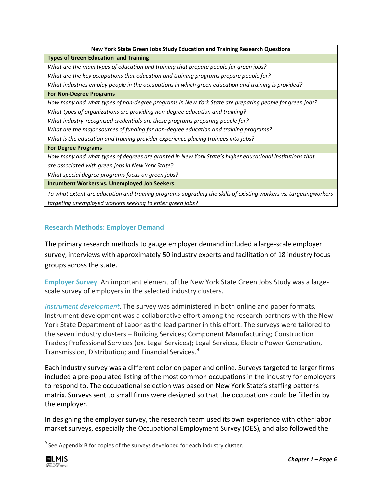| New York State Green Jobs Study Education and Training Research Questions                                        |  |  |
|------------------------------------------------------------------------------------------------------------------|--|--|
| <b>Types of Green Education and Training</b>                                                                     |  |  |
| What are the main types of education and training that prepare people for green jobs?                            |  |  |
| What are the key occupations that education and training programs prepare people for?                            |  |  |
| What industries employ people in the occupations in which green education and training is provided?              |  |  |
| <b>For Non-Degree Programs</b>                                                                                   |  |  |
| How many and what types of non-degree programs in New York State are preparing people for green jobs?            |  |  |
| What types of organizations are providing non-degree education and training?                                     |  |  |
| What industry-recognized credentials are these programs preparing people for?                                    |  |  |
| What are the major sources of funding for non-degree education and training programs?                            |  |  |
| What is the education and training provider experience placing trainees into jobs?                               |  |  |
| <b>For Degree Programs</b>                                                                                       |  |  |
| How many and what types of degrees are granted in New York State's higher educational institutions that          |  |  |
| are associated with green jobs in New York State?                                                                |  |  |
| What special degree programs focus on green jobs?                                                                |  |  |
| <b>Incumbent Workers vs. Unemployed Job Seekers</b>                                                              |  |  |
| To what extent are education and training programs upgrading the skills of existing workers vs. targetingworkers |  |  |
| targeting unemployed workers seeking to enter green jobs?                                                        |  |  |

## **Research Methods: Employer Demand**

The primary research methods to gauge employer demand included a large-scale employer survey, interviews with approximately 50 industry experts and facilitation of 18 industry focus groups across the state.

**Employer Survey**. An important element of the New York State Green Jobs Study was a largescale survey of employers in the selected industry clusters.

*Instrument development*. The survey was administered in both online and paper formats. Instrument development was a collaborative effort among the research partners with the New York State Department of Labor as the lead partner in this effort. The surveys were tailored to the seven industry clusters – Building Services; Component Manufacturing; Construction Trades; Professional Services (ex. Legal Services); Legal Services, Electric Power Generation, Transmission, Distribution; and Financial Services.<sup>[9](#page-5-0)</sup>

Each industry survey was a different color on paper and online. Surveys targeted to larger firms included a pre-populated listing of the most common occupations in the industry for employers to respond to. The occupational selection was based on New York State's staffing patterns matrix. Surveys sent to small firms were designed so that the occupations could be filled in by the employer.

In designing the employer survey, the research team used its own experience with other labor market surveys, especially the Occupational Employment Survey (OES), and also followed the

<span id="page-5-0"></span> $9^9$  See Appendix B for copies of the surveys developed for each industry cluster.

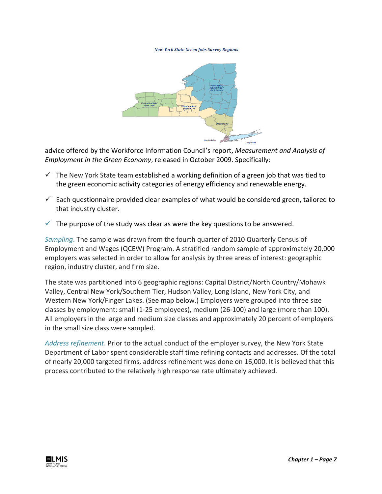#### **New York State Green Jobs Survey Regions**



advice offered by the Workforce Information Council's report, *Measurement and Analysis of Employment in the Green Economy*, released in October 2009. Specifically:

- $\checkmark$  The New York State team established a working definition of a green job that was tied to the green economic activity categories of energy efficiency and renewable energy.
- $\checkmark$  Each questionnaire provided clear examples of what would be considered green, tailored to that industry cluster.
- $\checkmark$  The purpose of the study was clear as were the key questions to be answered.

*Sampling*. The sample was drawn from the fourth quarter of 2010 Quarterly Census of Employment and Wages (QCEW) Program. A stratified random sample of approximately 20,000 employers was selected in order to allow for analysis by three areas of interest: geographic region, industry cluster, and firm size.

The state was partitioned into 6 geographic regions: Capital District/North Country/Mohawk Valley, Central New York/Southern Tier, Hudson Valley, Long Island, New York City, and Western New York/Finger Lakes. (See map below.) Employers were grouped into three size classes by employment: small (1-25 employees), medium (26-100) and large (more than 100). All employers in the large and medium size classes and approximately 20 percent of employers in the small size class were sampled.

*Address refinement*. Prior to the actual conduct of the employer survey, the New York State Department of Labor spent considerable staff time refining contacts and addresses. Of the total of nearly 20,000 targeted firms, address refinement was done on 16,000. It is believed that this process contributed to the relatively high response rate ultimately achieved.

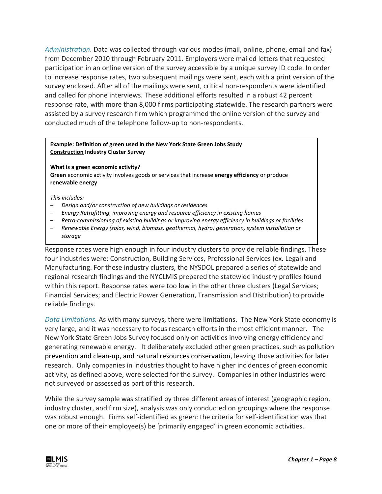*Administration*. Data was collected through various modes (mail, online, phone, email and fax) from December 2010 through February 2011. Employers were mailed letters that requested participation in an online version of the survey accessible by a unique survey ID code. In order to increase response rates, two subsequent mailings were sent, each with a print version of the survey enclosed. After all of the mailings were sent, critical non-respondents were identified and called for phone interviews. These additional efforts resulted in a robust 42 percent response rate, with more than 8,000 firms participating statewide. The research partners were assisted by a survey research firm which programmed the online version of the survey and conducted much of the telephone follow-up to non-respondents.

### **Example: Definition of green used in the New York State Green Jobs Study Construction Industry Cluster Survey**

**What is a green economic activity? Green** economic activity involves goods or services that increase **energy efficiency** or produce **renewable energy**

### *This includes:*

- *Design and/or construction of new buildings or residences*
- *Energy Retrofitting, improving energy and resource efficiency in existing homes*
- *Retro-commissioning of existing buildings or improving energy efficiency in buildings or facilities*
- *Renewable Energy (solar, wind, biomass, geothermal, hydro) generation, system installation or storage*

Response rates were high enough in four industry clusters to provide reliable findings. These four industries were: Construction, Building Services, Professional Services (ex. Legal) and Manufacturing. For these industry clusters, the NYSDOL prepared a series of statewide and regional research findings and the NYCLMIS prepared the statewide industry profiles found within this report. Response rates were too low in the other three clusters (Legal Services; Financial Services; and Electric Power Generation, Transmission and Distribution) to provide reliable findings.

*Data Limitations.* As with many surveys, there were limitations. The New York State economy is very large, and it was necessary to focus research efforts in the most efficient manner. The New York State Green Jobs Survey focused only on activities involving energy efficiency and generating renewable energy. It deliberately excluded other green practices, such as pollution prevention and clean-up, and natural resources conservation, leaving those activities for later research. Only companies in industries thought to have higher incidences of green economic activity, as defined above, were selected for the survey. Companies in other industries were not surveyed or assessed as part of this research.

While the survey sample was stratified by three different areas of interest (geographic region, industry cluster, and firm size), analysis was only conducted on groupings where the response was robust enough. Firms self-identified as green: the criteria for self-identification was that one or more of their employee(s) be 'primarily engaged' in green economic activities.

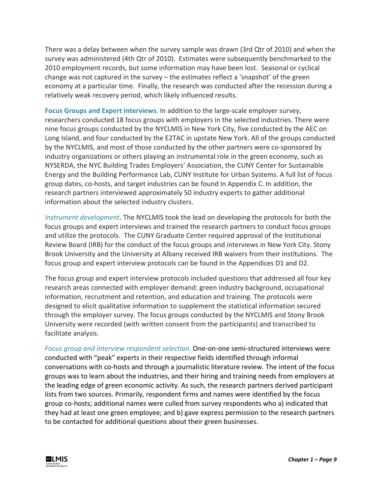There was a delay between when the survey sample was drawn (3rd Qtr of 2010) and when the survey was administered (4th Qtr of 2010). Estimates were subsequently benchmarked to the 2010 employment records, but some information may have been lost. Seasonal or cyclical change was not captured in the survey – the estimates reflect a 'snapshot' of the green economy at a particular time. Finally, the research was conducted after the recession during a relatively weak recovery period, which likely influenced results.

**Focus Groups and Expert Interviews**. In addition to the large-scale employer survey, researchers conducted 18 focus groups with employers in the selected industries. There were nine focus groups conducted by the NYCLMIS in New York City, five conducted by the AEC on Long Island, and four conducted by the E2TAC in upstate New York. All of the groups conducted by the NYCLMIS, and most of those conducted by the other partners were co-sponsored by industry organizations or others playing an instrumental role in the green economy, such as NYSERDA, the NYC Building Trades Employers' Association, the CUNY Center for Sustainable Energy and the Building Performance Lab, CUNY Institute for Urban Systems. A full list of focus group dates, co-hosts, and target industries can be found in Appendix C. In addition, the research partners interviewed approximately 50 industry experts to gather additional information about the selected industry clusters.

*Instrument development*. The NYCLMIS took the lead on developing the protocols for both the focus groups and expert interviews and trained the research partners to conduct focus groups and utilize the protocols. The CUNY Graduate Center required approval of the Institutional Review Board (IRB) for the conduct of the focus groups and interviews in New York City. Stony Brook University and the University at Albany received IRB waivers from their institutions. The focus group and expert interview protocols can be found in the Appendices D1 and D2.

The focus group and expert interview protocols included questions that addressed all four key research areas connected with employer demand: green industry background, occupational information, recruitment and retention, and education and training. The protocols were designed to elicit qualitative information to supplement the statistical information secured through the employer survey. The focus groups conducted by the NYCLMIS and Stony Brook University were recorded (with written consent from the participants) and transcribed to facilitate analysis.

*Focus group and interview respondent selection.* One-on-one semi-structured interviews were conducted with "peak" experts in their respective fields identified through informal conversations with co-hosts and through a journalistic literature review. The intent of the focus groups was to learn about the industries, and their hiring and training needs from employers at the leading edge of green economic activity. As such, the research partners derived participant lists from two sources. Primarily, respondent firms and names were identified by the focus group co-hosts; additional names were culled from survey respondents who a) indicated that they had at least one green employee; and b) gave express permission to the research partners to be contacted for additional questions about their green businesses.

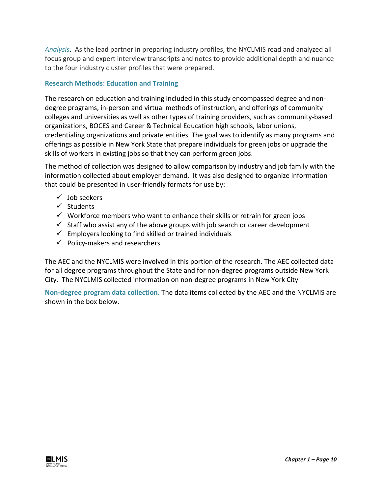*Analysis*. As the lead partner in preparing industry profiles, the NYCLMIS read and analyzed all focus group and expert interview transcripts and notes to provide additional depth and nuance to the four industry cluster profiles that were prepared.

### **Research Methods: Education and Training**

The research on education and training included in this study encompassed degree and nondegree programs, in-person and virtual methods of instruction, and offerings of community colleges and universities as well as other types of training providers, such as community-based organizations, BOCES and Career & Technical Education high schools, labor unions, credentialing organizations and private entities. The goal was to identify as many programs and offerings as possible in New York State that prepare individuals for green jobs or upgrade the skills of workers in existing jobs so that they can perform green jobs.

The method of collection was designed to allow comparison by industry and job family with the information collected about employer demand. It was also designed to organize information that could be presented in user-friendly formats for use by:

- $\checkmark$  Job seekers
- $\checkmark$  Students
- $\checkmark$  Workforce members who want to enhance their skills or retrain for green jobs
- $\checkmark$  Staff who assist any of the above groups with job search or career development
- $\checkmark$  Employers looking to find skilled or trained individuals
- $\checkmark$  Policy-makers and researchers

The AEC and the NYCLMIS were involved in this portion of the research. The AEC collected data for all degree programs throughout the State and for non-degree programs outside New York City. The NYCLMIS collected information on non-degree programs in New York City

**Non-degree program data collection.** The data items collected by the AEC and the NYCLMIS are shown in the box below.

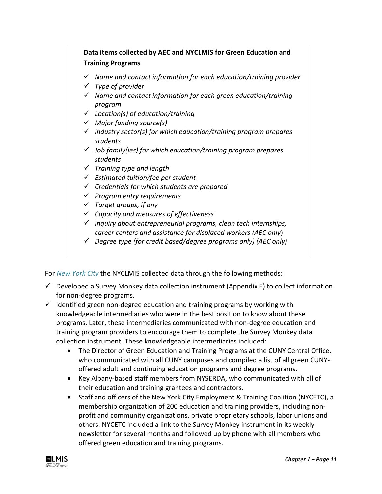| Data items collected by AEC and NYCLMIS for Green Education and<br><b>Training Programs</b> |                                                                                        |
|---------------------------------------------------------------------------------------------|----------------------------------------------------------------------------------------|
|                                                                                             | $\checkmark$ Name and contact information for each education/training provider         |
|                                                                                             | Type of provider                                                                       |
|                                                                                             | Name and contact information for each green education/training<br><u>program</u>       |
|                                                                                             | $\checkmark$ Location(s) of education/training                                         |
|                                                                                             | $\checkmark$ Major funding source(s)                                                   |
|                                                                                             | Industry sector(s) for which education/training program prepares<br>students           |
|                                                                                             | $\checkmark$ Job family(ies) for which education/training program prepares<br>students |
|                                                                                             | $\checkmark$ Training type and length                                                  |
|                                                                                             | $\checkmark$ Estimated tuition/fee per student                                         |
|                                                                                             | $\checkmark$ Credentials for which students are prepared                               |
|                                                                                             | Program entry requirements                                                             |
|                                                                                             | Target groups, if any                                                                  |
|                                                                                             | $\checkmark$ Capacity and measures of effectiveness                                    |
|                                                                                             | Inquiry about entrepreneurial programs, clean tech internships,                        |
|                                                                                             | career centers and assistance for displaced workers (AEC only)                         |
|                                                                                             | Degree type (for credit based/degree programs only) (AEC only)                         |

For *New York City* the NYCLMIS collected data through the following methods:

- $\checkmark$  Developed a Survey Monkey data collection instrument (Appendix E) to collect information for non-degree programs.
- $\checkmark$  Identified green non-degree education and training programs by working with knowledgeable intermediaries who were in the best position to know about these programs. Later, these intermediaries communicated with non-degree education and training program providers to encourage them to complete the Survey Monkey data collection instrument. These knowledgeable intermediaries included:
	- The Director of Green Education and Training Programs at the CUNY Central Office, who communicated with all CUNY campuses and compiled a list of all green CUNYoffered adult and continuing education programs and degree programs.
	- Key Albany-based staff members from NYSERDA, who communicated with all of their education and training grantees and contractors.
	- Staff and officers of the New York City Employment & Training Coalition (NYCETC), a membership organization of 200 education and training providers, including nonprofit and community organizations, private proprietary schools, labor unions and others. NYCETC included a link to the Survey Monkey instrument in its weekly newsletter for several months and followed up by phone with all members who offered green education and training programs.

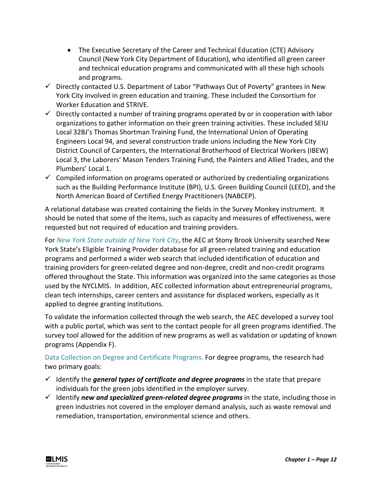- The Executive Secretary of the Career and Technical Education (CTE) Advisory Council (New York City Department of Education), who identified all green career and technical education programs and communicated with all these high schools and programs.
- $\checkmark$  Directly contacted U.S. Department of Labor "Pathways Out of Poverty" grantees in New York City involved in green education and training. These included the Consortium for Worker Education and STRIVE.
- $\checkmark$  Directly contacted a number of training programs operated by or in cooperation with labor organizations to gather information on their green training activities. These included SEIU Local 32BJ's Thomas Shortman Training Fund, the International Union of Operating Engineers Local 94, and several construction trade unions including the New York City District Council of Carpenters, the International Brotherhood of Electrical Workers (IBEW) Local 3, the Laborers' Mason Tenders Training Fund, the Painters and Allied Trades, and the Plumbers' Local 1.
- $\checkmark$  Compiled information on programs operated or authorized by credentialing organizations such as the Building Performance Institute (BPI), U.S. Green Building Council (LEED), and the North American Board of Certified Energy Practitioners (NABCEP).

A relational database was created containing the fields in the Survey Monkey instrument. It should be noted that some of the items, such as capacity and measures of effectiveness, were requested but not required of education and training providers.

For *New York State outside of New York City*, the AEC at Stony Brook University searched New York State's Eligible Training Provider database for all green-related training and education programs and performed a wider web search that included identification of education and training providers for green-related degree and non-degree, credit and non-credit programs offered throughout the State. This information was organized into the same categories as those used by the NYCLMIS. In addition, AEC collected information about entrepreneurial programs, clean tech internships, career centers and assistance for displaced workers, especially as it applied to degree granting institutions.

To validate the information collected through the web search, the AEC developed a survey tool with a public portal, which was sent to the contact people for all green programs identified. The survey tool allowed for the addition of new programs as well as validation or updating of known programs (Appendix F).

Data Collection on Degree and Certificate Programs. For degree programs, the research had two primary goals:

- $\checkmark$  Identify the *general types of certificate and degree programs* in the state that prepare individuals for the green jobs identified in the employer survey.
- $\checkmark$  Identify *new and specialized green-related degree programs* in the state, including those in green industries not covered in the employer demand analysis, such as waste removal and remediation, transportation, environmental science and others.

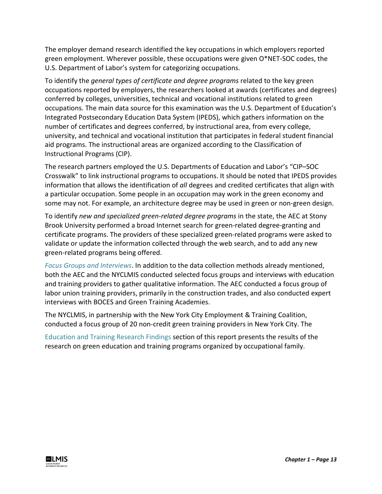The employer demand research identified the key occupations in which employers reported green employment. Wherever possible, these occupations were given O\*NET-SOC codes, the U.S. Department of Labor's system for categorizing occupations.

To identify the *general types of certificate and degree programs* related to the key green occupations reported by employers, the researchers looked at awards (certificates and degrees) conferred by colleges, universities, technical and vocational institutions related to green occupations. The main data source for this examination was the U.S. Department of Education's Integrated Postsecondary Education Data System (IPEDS), which gathers information on the number of certificates and degrees conferred, by instructional area, from every college, university, and technical and vocational institution that participates in federal student financial aid programs. The instructional areas are organized according to the Classification of Instructional Programs (CIP).

The research partners employed the U.S. Departments of Education and Labor's "CIP–SOC Crosswalk" to link instructional programs to occupations. It should be noted that IPEDS provides information that allows the identification of *all* degrees and credited certificates that align with a particular occupation. Some people in an occupation may work in the green economy and some may not. For example, an architecture degree may be used in green or non-green design.

To identify *new and specialized green-related degree programs* in the state, the AEC at Stony Brook University performed a broad Internet search for green-related degree-granting and certificate programs. The providers of these specialized green-related programs were asked to validate or update the information collected through the web search, and to add any new green-related programs being offered.

*Focus Groups and Interviews*. In addition to the data collection methods already mentioned, both the AEC and the NYCLMIS conducted selected focus groups and interviews with education and training providers to gather qualitative information. The AEC conducted a focus group of labor union training providers, primarily in the construction trades, and also conducted expert interviews with BOCES and Green Training Academies.

The NYCLMIS, in partnership with the New York City Employment & Training Coalition, conducted a focus group of 20 non-credit green training providers in New York City. The

Education and Training Research Findings section of this report presents the results of the research on green education and training programs organized by occupational family.